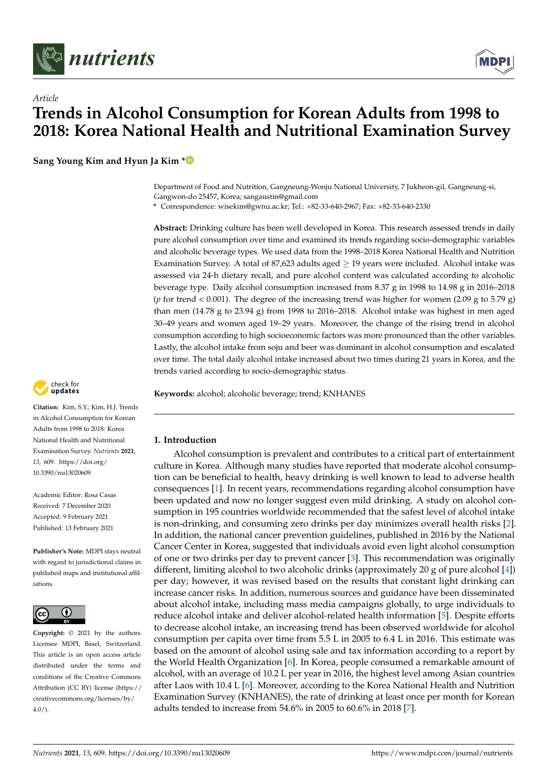

*Article*



# **Trends in Alcohol Consumption for Korean Adults from 1998 to 2018: Korea National Health and Nutritional Examination Survey**

**Sang Young Kim and Hyun Ja Kim [\\*](https://orcid.org/0000-0002-0965-9704)**

Department of Food and Nutrition, Gangneung-Wonju National University, 7 Jukheon-gil, Gangneung-si, Gangwon-do 25457, Korea; sangaustin@gmail.com

**\*** Correspondence: wisekim@gwnu.ac.kr; Tel.: +82-33-640-2967; Fax: +82-33-640-2330

**Abstract:** Drinking culture has been well developed in Korea. This research assessed trends in daily pure alcohol consumption over time and examined its trends regarding socio-demographic variables and alcoholic beverage types. We used data from the 1998–2018 Korea National Health and Nutrition Examination Survey. A total of 87,623 adults aged  $\geq$  19 years were included. Alcohol intake was assessed via 24-h dietary recall, and pure alcohol content was calculated according to alcoholic beverage type. Daily alcohol consumption increased from 8.37 g in 1998 to 14.98 g in 2016–2018 (*p* for trend < 0.001). The degree of the increasing trend was higher for women (2.09 g to 5.79 g) than men (14.78 g to 23.94 g) from 1998 to 2016–2018. Alcohol intake was highest in men aged 30–49 years and women aged 19–29 years. Moreover, the change of the rising trend in alcohol consumption according to high socioeconomic factors was more pronounced than the other variables. Lastly, the alcohol intake from soju and beer was dominant in alcohol consumption and escalated over time. The total daily alcohol intake increased about two times during 21 years in Korea, and the trends varied according to socio-demographic status.

**Keywords:** alcohol; alcoholic beverage; trend; KNHANES



**Citation:** Kim, S.Y.; Kim, H.J. Trends in Alcohol Consumption for Korean Adults from 1998 to 2018: Korea National Health and Nutritional Examination Survey. *Nutrients* **2021**, *13*, 609. [https://doi.org/](https://doi.org/10.3390/nu13020609) [10.3390/nu13020609](https://doi.org/10.3390/nu13020609)

Academic Editor: Rosa Casas Received: 7 December 2020 Accepted: 9 February 2021 Published: 13 February 2021

**Publisher's Note:** MDPI stays neutral with regard to jurisdictional claims in published maps and institutional affiliations.



**Copyright:** © 2021 by the authors. Licensee MDPI, Basel, Switzerland. This article is an open access article distributed under the terms and conditions of the Creative Commons Attribution (CC BY) license (https:/[/](https://creativecommons.org/licenses/by/4.0/) [creativecommons.org/licenses/by/](https://creativecommons.org/licenses/by/4.0/)  $4.0/$ ).

# **1. Introduction**

Alcohol consumption is prevalent and contributes to a critical part of entertainment culture in Korea. Although many studies have reported that moderate alcohol consumption can be beneficial to health, heavy drinking is well known to lead to adverse health consequences [\[1\]](#page-12-0). In recent years, recommendations regarding alcohol consumption have been updated and now no longer suggest even mild drinking. A study on alcohol consumption in 195 countries worldwide recommended that the safest level of alcohol intake is non-drinking, and consuming zero drinks per day minimizes overall health risks [\[2\]](#page-12-1). In addition, the national cancer prevention guidelines, published in 2016 by the National Cancer Center in Korea, suggested that individuals avoid even light alcohol consumption of one or two drinks per day to prevent cancer [\[3\]](#page-12-2). This recommendation was originally different, limiting alcohol to two alcoholic drinks (approximately 20 g of pure alcohol  $[4]$ ) per day; however, it was revised based on the results that constant light drinking can increase cancer risks. In addition, numerous sources and guidance have been disseminated about alcohol intake, including mass media campaigns globally, to urge individuals to reduce alcohol intake and deliver alcohol-related health information [\[5\]](#page-12-4). Despite efforts to decrease alcohol intake, an increasing trend has been observed worldwide for alcohol consumption per capita over time from 5.5 L in 2005 to 6.4 L in 2016. This estimate was based on the amount of alcohol using sale and tax information according to a report by the World Health Organization [\[6\]](#page-12-5). In Korea, people consumed a remarkable amount of alcohol, with an average of 10.2 L per year in 2016, the highest level among Asian countries after Laos with 10.4 L [\[6\]](#page-12-5). Moreover, according to the Korea National Health and Nutrition Examination Survey (KNHANES), the rate of drinking at least once per month for Korean adults tended to increase from 54.6% in 2005 to 60.6% in 2018 [\[7\]](#page-12-6).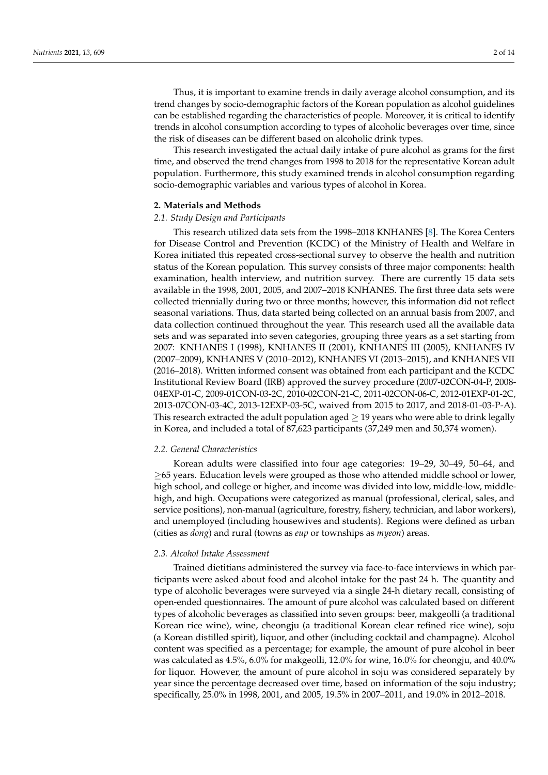Thus, it is important to examine trends in daily average alcohol consumption, and its trend changes by socio-demographic factors of the Korean population as alcohol guidelines can be established regarding the characteristics of people. Moreover, it is critical to identify trends in alcohol consumption according to types of alcoholic beverages over time, since the risk of diseases can be different based on alcoholic drink types.

This research investigated the actual daily intake of pure alcohol as grams for the first time, and observed the trend changes from 1998 to 2018 for the representative Korean adult population. Furthermore, this study examined trends in alcohol consumption regarding socio-demographic variables and various types of alcohol in Korea.

# **2. Materials and Methods**

# *2.1. Study Design and Participants*

This research utilized data sets from the 1998–2018 KNHANES [\[8\]](#page-12-7). The Korea Centers for Disease Control and Prevention (KCDC) of the Ministry of Health and Welfare in Korea initiated this repeated cross-sectional survey to observe the health and nutrition status of the Korean population. This survey consists of three major components: health examination, health interview, and nutrition survey. There are currently 15 data sets available in the 1998, 2001, 2005, and 2007–2018 KNHANES. The first three data sets were collected triennially during two or three months; however, this information did not reflect seasonal variations. Thus, data started being collected on an annual basis from 2007, and data collection continued throughout the year. This research used all the available data sets and was separated into seven categories, grouping three years as a set starting from 2007: KNHANES I (1998), KNHANES II (2001), KNHANES III (2005), KNHANES IV (2007–2009), KNHANES V (2010–2012), KNHANES VI (2013–2015), and KNHANES VII (2016–2018). Written informed consent was obtained from each participant and the KCDC Institutional Review Board (IRB) approved the survey procedure (2007-02CON-04-P, 2008- 04EXP-01-C, 2009-01CON-03-2C, 2010-02CON-21-C, 2011-02CON-06-C, 2012-01EXP-01-2C, 2013-07CON-03-4C, 2013-12EXP-03-5C, waived from 2015 to 2017, and 2018-01-03-P-A). This research extracted the adult population aged  $\geq$  19 years who were able to drink legally in Korea, and included a total of 87,623 participants (37,249 men and 50,374 women).

#### *2.2. General Characteristics*

Korean adults were classified into four age categories: 19–29, 30–49, 50–64, and ≥65 years. Education levels were grouped as those who attended middle school or lower, high school, and college or higher, and income was divided into low, middle-low, middlehigh, and high. Occupations were categorized as manual (professional, clerical, sales, and service positions), non-manual (agriculture, forestry, fishery, technician, and labor workers), and unemployed (including housewives and students). Regions were defined as urban (cities as *dong*) and rural (towns as *eup* or townships as *myeon*) areas.

#### *2.3. Alcohol Intake Assessment*

Trained dietitians administered the survey via face-to-face interviews in which participants were asked about food and alcohol intake for the past 24 h. The quantity and type of alcoholic beverages were surveyed via a single 24-h dietary recall, consisting of open-ended questionnaires. The amount of pure alcohol was calculated based on different types of alcoholic beverages as classified into seven groups: beer, makgeolli (a traditional Korean rice wine), wine, cheongju (a traditional Korean clear refined rice wine), soju (a Korean distilled spirit), liquor, and other (including cocktail and champagne). Alcohol content was specified as a percentage; for example, the amount of pure alcohol in beer was calculated as 4.5%, 6.0% for makgeolli, 12.0% for wine, 16.0% for cheongju, and 40.0% for liquor. However, the amount of pure alcohol in soju was considered separately by year since the percentage decreased over time, based on information of the soju industry; specifically, 25.0% in 1998, 2001, and 2005, 19.5% in 2007–2011, and 19.0% in 2012–2018.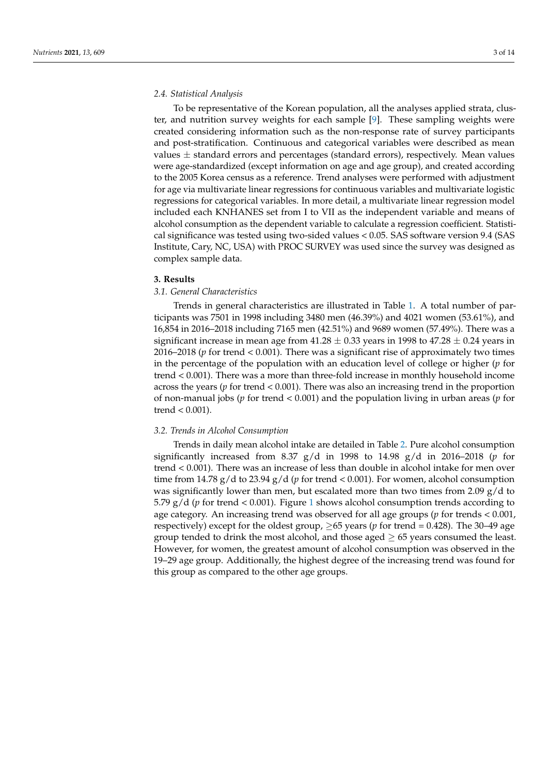# *2.4. Statistical Analysis*

To be representative of the Korean population, all the analyses applied strata, cluster, and nutrition survey weights for each sample [\[9\]](#page-12-8). These sampling weights were created considering information such as the non-response rate of survey participants and post-stratification. Continuous and categorical variables were described as mean values  $\pm$  standard errors and percentages (standard errors), respectively. Mean values were age-standardized (except information on age and age group), and created according to the 2005 Korea census as a reference. Trend analyses were performed with adjustment for age via multivariate linear regressions for continuous variables and multivariate logistic regressions for categorical variables. In more detail, a multivariate linear regression model included each KNHANES set from I to VII as the independent variable and means of alcohol consumption as the dependent variable to calculate a regression coefficient. Statistical significance was tested using two-sided values < 0.05. SAS software version 9.4 (SAS Institute, Cary, NC, USA) with PROC SURVEY was used since the survey was designed as complex sample data.

#### **3. Results**

# *3.1. General Characteristics*

Trends in general characteristics are illustrated in Table [1.](#page-4-0) A total number of participants was 7501 in 1998 including 3480 men (46.39%) and 4021 women (53.61%), and 16,854 in 2016–2018 including 7165 men (42.51%) and 9689 women (57.49%). There was a significant increase in mean age from  $41.28 \pm 0.33$  years in 1998 to  $47.28 \pm 0.24$  years in 2016–2018 (*p* for trend < 0.001). There was a significant rise of approximately two times in the percentage of the population with an education level of college or higher (*p* for trend < 0.001). There was a more than three-fold increase in monthly household income across the years (*p* for trend < 0.001). There was also an increasing trend in the proportion of non-manual jobs (*p* for trend < 0.001) and the population living in urban areas (*p* for trend < 0.001).

#### *3.2. Trends in Alcohol Consumption*

Trends in daily mean alcohol intake are detailed in Table [2.](#page-6-0) Pure alcohol consumption significantly increased from 8.37 g/d in 1998 to 14.98 g/d in 2016–2018 (*p* for trend < 0.001). There was an increase of less than double in alcohol intake for men over time from 14.78  $g/d$  to 23.94  $g/d$  (*p* for trend < 0.001). For women, alcohol consumption was significantly lower than men, but escalated more than two times from 2.09  $g/d$  to 5.79  $g/d$  (*p* for trend < 0.00[1](#page-7-0)). Figure 1 shows alcohol consumption trends according to age category. An increasing trend was observed for all age groups (*p* for trends < 0.001, respectively) except for the oldest group, ≥65 years (*p* for trend = 0.428). The 30–49 age group tended to drink the most alcohol, and those aged  $\geq$  65 years consumed the least. However, for women, the greatest amount of alcohol consumption was observed in the 19–29 age group. Additionally, the highest degree of the increasing trend was found for this group as compared to the other age groups.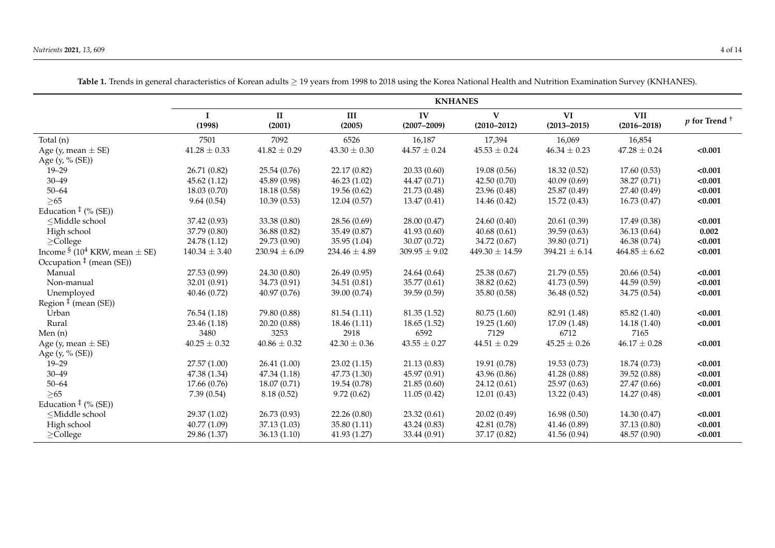|                                                                                                                                                                                                          | <b>KNHANES</b>        |                        |                   |                       |                      |                       |                               |                            |
|----------------------------------------------------------------------------------------------------------------------------------------------------------------------------------------------------------|-----------------------|------------------------|-------------------|-----------------------|----------------------|-----------------------|-------------------------------|----------------------------|
|                                                                                                                                                                                                          | $\mathbf I$<br>(1998) | $\mathbf{I}$<br>(2001) | III<br>(2005)     | IV<br>$(2007 - 2009)$ | V<br>$(2010 - 2012)$ | VI<br>$(2013 - 2015)$ | <b>VII</b><br>$(2016 - 2018)$ | $p$ for Trend <sup>+</sup> |
| Total (n)                                                                                                                                                                                                | 7501                  | 7092                   | 6526              | 16,187                | 17,394               | 16,069                | 16,854                        |                            |
| Age (y, mean $\pm$ SE)                                                                                                                                                                                   | $41.28 \pm 0.33$      | $41.82 \pm 0.29$       | $43.30 \pm 0.30$  | $44.57 \pm 0.24$      | $45.53 \pm 0.24$     | $46.34 \pm 0.23$      | $47.28 \pm 0.24$              | < 0.001                    |
| Age (y, % (SE))                                                                                                                                                                                          |                       |                        |                   |                       |                      |                       |                               |                            |
| $19 - 29$                                                                                                                                                                                                | 26.71 (0.82)          | 25.54(0.76)            | 22.17 (0.82)      | 20.33(0.60)           | 19.08 (0.56)         | 18.32(0.52)           | 17.60(0.53)                   | < 0.001                    |
| $30 - 49$                                                                                                                                                                                                | 45.62(1.12)           | 45.89 (0.98)           | 46.23(1.02)       | 44.47 (0.71)          | 42.50(0.70)          | 40.09(0.69)           | 38.27 (0.71)                  | < 0.001                    |
| $50 - 64$                                                                                                                                                                                                | 18.03 (0.70)          | 18.18 (0.58)           | 19.56(0.62)       | 21.73 (0.48)          | 23.96 (0.48)         | 25.87 (0.49)          | 27.40 (0.49)                  | < 0.001                    |
| >65                                                                                                                                                                                                      | 9.64(0.54)            | 10.39(0.53)            | 12.04(0.57)       | 13.47(0.41)           | 14.46 (0.42)         | 15.72 (0.43)          | 16.73(0.47)                   | < 0.001                    |
| Education $\frac{1}{2}$ (% (SE))                                                                                                                                                                         |                       |                        |                   |                       |                      |                       |                               |                            |
| <middle school<="" td=""><td>37.42 (0.93)</td><td>33.38 (0.80)</td><td>28.56 (0.69)</td><td>28.00 (0.47)</td><td>24.60 (0.40)</td><td>20.61 (0.39)</td><td>17.49 (0.38)</td><td>&lt; 0.001</td></middle> | 37.42 (0.93)          | 33.38 (0.80)           | 28.56 (0.69)      | 28.00 (0.47)          | 24.60 (0.40)         | 20.61 (0.39)          | 17.49 (0.38)                  | < 0.001                    |
| High school                                                                                                                                                                                              | 37.79 (0.80)          | 36.88 (0.82)           | 35.49 (0.87)      | 41.93(0.60)           | 40.68(0.61)          | 39.59 (0.63)          | 36.13(0.64)                   | 0.002                      |
| $\geq$ College                                                                                                                                                                                           | 24.78 (1.12)          | 29.73 (0.90)           | 35.95 (1.04)      | 30.07(0.72)           | 34.72 (0.67)         | 39.80 (0.71)          | 46.38 (0.74)                  | < 0.001                    |
| Income $\frac{1}{2}$ (10 <sup>4</sup> KRW, mean $\pm$ SE)                                                                                                                                                | $140.34 \pm 3.40$     | $230.94 \pm 6.09$      | $234.46 \pm 4.89$ | $309.95 \pm 9.02$     | $449.30 \pm 14.59$   | $394.21 \pm 6.14$     | $464.85 \pm 6.62$             | < 0.001                    |
| Occupation $‡$ (mean (SE))                                                                                                                                                                               |                       |                        |                   |                       |                      |                       |                               |                            |
| Manual                                                                                                                                                                                                   | 27.53 (0.99)          | 24.30 (0.80)           | 26.49 (0.95)      | 24.64 (0.64)          | 25.38 (0.67)         | 21.79 (0.55)          | 20.66(0.54)                   | < 0.001                    |
| Non-manual                                                                                                                                                                                               | 32.01 (0.91)          | 34.73 (0.91)           | 34.51 (0.81)      | 35.77 (0.61)          | 38.82 (0.62)         | 41.73 (0.59)          | 44.59 (0.59)                  | < 0.001                    |
| Unemployed                                                                                                                                                                                               | 40.46 (0.72)          | 40.97(0.76)            | 39.00 (0.74)      | 39.59(0.59)           | 35.80 (0.58)         | 36.48 (0.52)          | 34.75 (0.54)                  | < 0.001                    |
| Region $‡$ (mean (SE))                                                                                                                                                                                   |                       |                        |                   |                       |                      |                       |                               |                            |
| Urban                                                                                                                                                                                                    | 76.54 (1.18)          | 79.80 (0.88)           | 81.54(1.11)       | 81.35 (1.52)          | 80.75 (1.60)         | 82.91 (1.48)          | 85.82 (1.40)                  | < 0.001                    |
| Rural                                                                                                                                                                                                    | 23.46 (1.18)          | 20.20(0.88)            | 18.46 (1.11)      | 18.65(1.52)           | 19.25(1.60)          | 17.09 (1.48)          | 14.18 (1.40)                  | < 0.001                    |
| Men $(n)$                                                                                                                                                                                                | 3480                  | 3253                   | 2918              | 6592                  | 7129                 | 6712                  | 7165                          |                            |
| Age (y, mean $\pm$ SE)                                                                                                                                                                                   | $40.25 \pm 0.32$      | $40.86 \pm 0.32$       | $42.30 \pm 0.36$  | $43.55 \pm 0.27$      | $44.51 \pm 0.29$     | $45.25 \pm 0.26$      | $46.17 \pm 0.28$              | < 0.001                    |
| Age (y, % (SE))                                                                                                                                                                                          |                       |                        |                   |                       |                      |                       |                               |                            |
| $19 - 29$                                                                                                                                                                                                | 27.57 (1.00)          | 26.41(1.00)            | 23.02(1.15)       | 21.13(0.83)           | 19.91 (0.78)         | 19.53(0.73)           | 18.74 (0.73)                  | < 0.001                    |
| $30 - 49$                                                                                                                                                                                                | 47.38 (1.34)          | 47.34 (1.18)           | 47.73 (1.30)      | 45.97 (0.91)          | 43.96 (0.86)         | 41.28 (0.88)          | 39.52 (0.88)                  | < 0.001                    |
| $50 - 64$                                                                                                                                                                                                | 17.66 (0.76)          | 18.07(0.71)            | 19.54 (0.78)      | 21.85(0.60)           | 24.12(0.61)          | 25.97 (0.63)          | 27.47 (0.66)                  | < 0.001                    |
| $>65$                                                                                                                                                                                                    | 7.39(0.54)            | 8.18(0.52)             | 9.72(0.62)        | 11.05(0.42)           | 12.01(0.43)          | 13.22(0.43)           | 14.27 (0.48)                  | < 0.001                    |
| Education $\frac{1}{2}$ (% (SE))                                                                                                                                                                         |                       |                        |                   |                       |                      |                       |                               |                            |
| <middle school<="" td=""><td>29.37 (1.02)</td><td>26.73 (0.93)</td><td>22.26 (0.80)</td><td>23.32(0.61)</td><td>20.02(0.49)</td><td>16.98(0.50)</td><td>14.30(0.47)</td><td>&lt; 0.001</td></middle>     | 29.37 (1.02)          | 26.73 (0.93)           | 22.26 (0.80)      | 23.32(0.61)           | 20.02(0.49)          | 16.98(0.50)           | 14.30(0.47)                   | < 0.001                    |
| High school                                                                                                                                                                                              | 40.77 (1.09)          | 37.13 (1.03)           | 35.80 (1.11)      | 43.24(0.83)           | 42.81 (0.78)         | 41.46 (0.89)          | 37.13 (0.80)                  | < 0.001                    |
| $\geq$ College                                                                                                                                                                                           | 29.86 (1.37)          | 36.13(1.10)            | 41.93 (1.27)      | 33.44 (0.91)          | 37.17 (0.82)         | 41.56 (0.94)          | 48.57 (0.90)                  | < 0.001                    |

**Table 1.** Trends in general characteristics of Korean adults ≥ 19 years from 1998 to 2018 using the Korea National Health and Nutrition Examination Survey (KNHANES).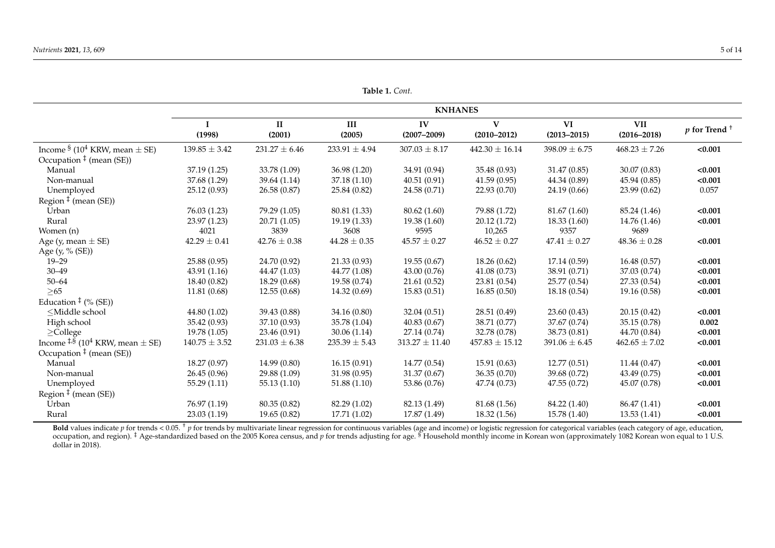|                                                                                                                                                                                                        | <b>KNHANES</b>    |                        |                   |                       |                                 |                       |                               |                            |  |
|--------------------------------------------------------------------------------------------------------------------------------------------------------------------------------------------------------|-------------------|------------------------|-------------------|-----------------------|---------------------------------|-----------------------|-------------------------------|----------------------------|--|
|                                                                                                                                                                                                        |                   |                        |                   |                       |                                 |                       |                               |                            |  |
|                                                                                                                                                                                                        | (1998)            | $\mathbf{I}$<br>(2001) | III<br>(2005)     | IV<br>$(2007 - 2009)$ | $\mathbf{V}$<br>$(2010 - 2012)$ | VI<br>$(2013 - 2015)$ | <b>VII</b><br>$(2016 - 2018)$ | $p$ for Trend <sup>+</sup> |  |
| Income $\frac{1}{2}$ (10 <sup>4</sup> KRW, mean $\pm$ SE)                                                                                                                                              | $139.85 \pm 3.42$ | $231.27 \pm 6.46$      | $233.91 \pm 4.94$ | $307.03 \pm 8.17$     | $442.30 \pm 16.14$              | $398.09 \pm 6.75$     | $468.23 \pm 7.26$             | < 0.001                    |  |
| Occupation $‡$ (mean (SE))                                                                                                                                                                             |                   |                        |                   |                       |                                 |                       |                               |                            |  |
| Manual                                                                                                                                                                                                 | 37.19 (1.25)      | 33.78 (1.09)           | 36.98 (1.20)      | 34.91 (0.94)          | 35.48 (0.93)                    | 31.47 (0.85)          | 30.07 (0.83)                  | < 0.001                    |  |
| Non-manual                                                                                                                                                                                             | 37.68 (1.29)      | 39.64 (1.14)           | 37.18 (1.10)      | 40.51(0.91)           | 41.59(0.95)                     | 44.34 (0.89)          | 45.94 (0.85)                  | < 0.001                    |  |
| Unemployed                                                                                                                                                                                             | 25.12 (0.93)      | 26.58 (0.87)           | 25.84 (0.82)      | 24.58 (0.71)          | 22.93 (0.70)                    | 24.19 (0.66)          | 23.99 (0.62)                  | 0.057                      |  |
| Region <sup>‡</sup> (mean (SE))                                                                                                                                                                        |                   |                        |                   |                       |                                 |                       |                               |                            |  |
| Urban                                                                                                                                                                                                  | 76.03 (1.23)      | 79.29 (1.05)           | 80.81 (1.33)      | 80.62(1.60)           | 79.88 (1.72)                    | 81.67 (1.60)          | 85.24 (1.46)                  | < 0.001                    |  |
| Rural                                                                                                                                                                                                  | 23.97 (1.23)      | 20.71 (1.05)           | 19.19 (1.33)      | 19.38 (1.60)          | 20.12(1.72)                     | 18.33(1.60)           | 14.76 (1.46)                  | < 0.001                    |  |
| Women (n)                                                                                                                                                                                              | 4021              | 3839                   | 3608              | 9595                  | 10,265                          | 9357                  | 9689                          |                            |  |
| Age (y, mean $\pm$ SE)                                                                                                                                                                                 | $42.29 \pm 0.41$  | $42.76 \pm 0.38$       | $44.28 \pm 0.35$  | $45.57 \pm 0.27$      | $46.52 \pm 0.27$                | $47.41 \pm 0.27$      | $48.36 \pm 0.28$              | < 0.001                    |  |
| Age (y, % (SE))                                                                                                                                                                                        |                   |                        |                   |                       |                                 |                       |                               |                            |  |
| $19 - 29$                                                                                                                                                                                              | 25.88 (0.95)      | 24.70 (0.92)           | 21.33 (0.93)      | 19.55(0.67)           | 18.26(0.62)                     | 17.14 (0.59)          | 16.48(0.57)                   | < 0.001                    |  |
| $30 - 49$                                                                                                                                                                                              | 43.91 (1.16)      | 44.47 (1.03)           | 44.77 (1.08)      | 43.00(0.76)           | 41.08(0.73)                     | 38.91 (0.71)          | 37.03 (0.74)                  | < 0.001                    |  |
| $50 - 64$                                                                                                                                                                                              | 18.40 (0.82)      | 18.29(0.68)            | 19.58 (0.74)      | 21.61(0.52)           | 23.81 (0.54)                    | 25.77 (0.54)          | 27.33 (0.54)                  | < 0.001                    |  |
| $>65$                                                                                                                                                                                                  | 11.81 (0.68)      | 12.55(0.68)            | 14.32 (0.69)      | 15.83(0.51)           | 16.85(0.50)                     | 18.18 (0.54)          | 19.16 (0.58)                  | < 0.001                    |  |
| Education $\frac{1}{2}$ (% (SE))                                                                                                                                                                       |                   |                        |                   |                       |                                 |                       |                               |                            |  |
| <middle school<="" td=""><td>44.80 (1.02)</td><td>39.43 (0.88)</td><td>34.16 (0.80)</td><td>32.04(0.51)</td><td>28.51 (0.49)</td><td>23.60 (0.43)</td><td>20.15(0.42)</td><td>&lt; 0.001</td></middle> | 44.80 (1.02)      | 39.43 (0.88)           | 34.16 (0.80)      | 32.04(0.51)           | 28.51 (0.49)                    | 23.60 (0.43)          | 20.15(0.42)                   | < 0.001                    |  |
| High school                                                                                                                                                                                            | 35.42 (0.93)      | 37.10 (0.93)           | 35.78 (1.04)      | 40.83(0.67)           | 38.71 (0.77)                    | 37.67 (0.74)          | 35.15(0.78)                   | 0.002                      |  |
| $\geq$ College                                                                                                                                                                                         | 19.78(1.05)       | 23.46 (0.91)           | 30.06(1.14)       | 27.14 (0.74)          | 32.78 (0.78)                    | 38.73 (0.81)          | 44.70 (0.84)                  | < 0.001                    |  |
| Income $\frac{1.8}{10}$ (10 <sup>4</sup> KRW, mean $\pm$ SE)                                                                                                                                           | $140.75 \pm 3.52$ | $231.03 \pm 6.38$      | $235.39 \pm 5.43$ | $313.27 \pm 11.40$    | $457.83 \pm 15.12$              | $391.06 \pm 6.45$     | $462.65 \pm 7.02$             | < 0.001                    |  |
| Occupation $‡$ (mean (SE))                                                                                                                                                                             |                   |                        |                   |                       |                                 |                       |                               |                            |  |
| Manual                                                                                                                                                                                                 | 18.27 (0.97)      | 14.99 (0.80)           | 16.15(0.91)       | 14.77 (0.54)          | 15.91(0.63)                     | 12.77(0.51)           | 11.44 (0.47)                  | < 0.001                    |  |
| Non-manual                                                                                                                                                                                             | 26.45 (0.96)      | 29.88 (1.09)           | 31.98 (0.95)      | 31.37 (0.67)          | 36.35(0.70)                     | 39.68 (0.72)          | 43.49 (0.75)                  | < 0.001                    |  |
| Unemployed                                                                                                                                                                                             | 55.29 (1.11)      | 55.13(1.10)            | 51.88 (1.10)      | 53.86 (0.76)          | 47.74 (0.73)                    | 47.55 (0.72)          | 45.07 (0.78)                  | < 0.001                    |  |
| Region $\ddagger$ (mean (SE))                                                                                                                                                                          |                   |                        |                   |                       |                                 |                       |                               |                            |  |
| Urban                                                                                                                                                                                                  | 76.97 (1.19)      | 80.35 (0.82)           | 82.29 (1.02)      | 82.13 (1.49)          | 81.68 (1.56)                    | 84.22 (1.40)          | 86.47 (1.41)                  | < 0.001                    |  |
| Rural                                                                                                                                                                                                  | 23.03 (1.19)      | 19.65 (0.82)           | 17.71 (1.02)      | 17.87 (1.49)          | 18.32(1.56)                     | 15.78 (1.40)          | 13.53(1.41)                   | < 0.001                    |  |

<span id="page-4-0"></span>**Bold** values indicate p for trends < 0.05. <sup>†</sup> p for trends by multivariate linear regression for continuous variables (age and income) or logistic regression for categorical variables (each category of age, education, occupation, and region). <sup>‡</sup> Age-standardized based on the 2005 Korea census, and *p* for trends adjusting for age. <sup>§</sup> Household monthly income in Korean won (approximately 1082 Korean won equal to 1 U.S. dollar in  $2018$ ).

**Table 1.** *Cont.*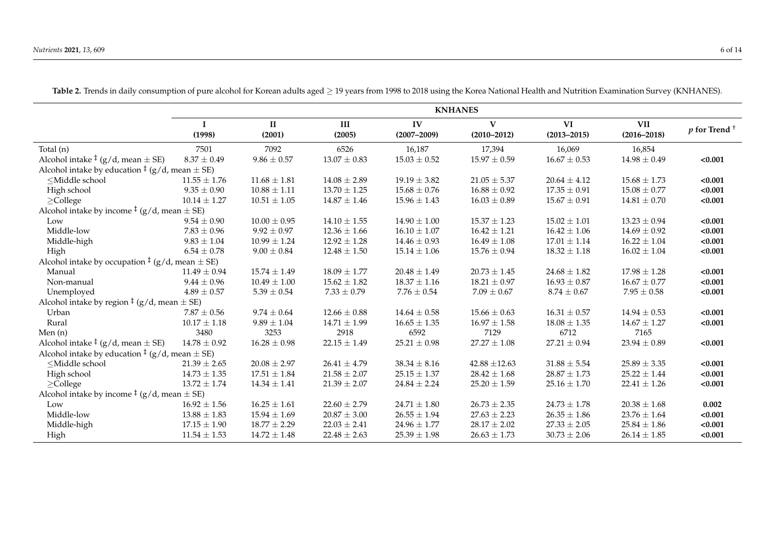**Table 2.** Trends in daily consumption of pure alcohol for Korean adults aged ≥ 19 years from 1998 to 2018 using the Korea National Health and Nutrition Examination Survey (KNHANES). **KNHANES I (1998)**  $\overline{\mathbf{H}}$ **(2001)**  $\overline{\mathbf{H}}$ **(2005)**  $\overline{W}$ **(2007–2009)**  $\overline{\mathbf{v}}$ **(2010–2012)**  $\overline{\mathbf{v}}$ **(2013–2015)**  $\overline{\text{VII}}$ **(2016–2018)** *<sup>p</sup>* **for Trend** †

|                                                                                                                                                                                                                                                                                                                    | (1998)           | п<br>(2001)      | Ш<br>(2005)      | 1 V<br>$(2007 - 2009)$ | `V<br>$(2010 - 2012)$ | VI.<br>$(2013 - 2015)$ | VII.<br>$(2016 - 2018)$ | $p$ for Trend <sup>+</sup> |
|--------------------------------------------------------------------------------------------------------------------------------------------------------------------------------------------------------------------------------------------------------------------------------------------------------------------|------------------|------------------|------------------|------------------------|-----------------------|------------------------|-------------------------|----------------------------|
| Total (n)                                                                                                                                                                                                                                                                                                          | 7501             | 7092             | 6526             | 16,187                 | 17,394                | 16,069                 | 16,854                  |                            |
| Alcohol intake $\frac{1}{2}$ (g/d, mean $\pm$ SE)                                                                                                                                                                                                                                                                  | $8.37 \pm 0.49$  | $9.86 \pm 0.57$  | $13.07 \pm 0.83$ | $15.03 \pm 0.52$       | $15.97 \pm 0.59$      | $16.67 \pm 0.53$       | $14.98 \pm 0.49$        | < 0.001                    |
| Alcohol intake by education $\frac{1}{2}$ (g/d, mean $\pm$ SE)                                                                                                                                                                                                                                                     |                  |                  |                  |                        |                       |                        |                         |                            |
| <middle school<="" td=""><td><math>11.55 \pm 1.76</math></td><td><math>11.68 \pm 1.81</math></td><td><math>14.08 \pm 2.89</math></td><td><math>19.19 \pm 3.82</math></td><td><math>21.05 \pm 5.37</math></td><td><math>20.64 \pm 4.12</math></td><td><math>15.68 \pm 1.73</math></td><td>&lt; 0.001</td></middle>  | $11.55 \pm 1.76$ | $11.68 \pm 1.81$ | $14.08 \pm 2.89$ | $19.19 \pm 3.82$       | $21.05 \pm 5.37$      | $20.64 \pm 4.12$       | $15.68 \pm 1.73$        | < 0.001                    |
| High school                                                                                                                                                                                                                                                                                                        | $9.35 \pm 0.90$  | $10.88 \pm 1.11$ | $13.70 \pm 1.25$ | $15.68 \pm 0.76$       | $16.88 \pm 0.92$      | $17.35 \pm 0.91$       | $15.08 \pm 0.77$        | < 0.001                    |
| $\geq$ College                                                                                                                                                                                                                                                                                                     | $10.14 \pm 1.27$ | $10.51 \pm 1.05$ | $14.87 \pm 1.46$ | $15.96 \pm 1.43$       | $16.03 \pm 0.89$      | $15.67 \pm 0.91$       | $14.81 \pm 0.70$        | < 0.001                    |
| Alcohol intake by income $\frac{1}{2}$ (g/d, mean $\pm$ SE)                                                                                                                                                                                                                                                        |                  |                  |                  |                        |                       |                        |                         |                            |
| Low                                                                                                                                                                                                                                                                                                                | $9.54 \pm 0.90$  | $10.00 \pm 0.95$ | $14.10 \pm 1.55$ | $14.90 \pm 1.00$       | $15.37 \pm 1.23$      | $15.02 \pm 1.01$       | $13.23 \pm 0.94$        | < 0.001                    |
| Middle-low                                                                                                                                                                                                                                                                                                         | $7.83 \pm 0.96$  | $9.92 \pm 0.97$  | $12.36 \pm 1.66$ | $16.10 \pm 1.07$       | $16.42 \pm 1.21$      | $16.42 \pm 1.06$       | $14.69 \pm 0.92$        | < 0.001                    |
| Middle-high                                                                                                                                                                                                                                                                                                        | $9.83 \pm 1.04$  | $10.99 \pm 1.24$ | $12.92 \pm 1.28$ | $14.46 \pm 0.93$       | $16.49 \pm 1.08$      | $17.01 \pm 1.14$       | $16.22 \pm 1.04$        | < 0.001                    |
| High                                                                                                                                                                                                                                                                                                               | $6.54 \pm 0.78$  | $9.00\pm0.84$    | $12.48 \pm 1.50$ | $15.14 \pm 1.06$       | $15.76 \pm 0.94$      | $18.32 \pm 1.18$       | $16.02 \pm 1.04$        | < 0.001                    |
| Alcohol intake by occupation $\frac{1}{2}$ (g/d, mean $\pm$ SE)                                                                                                                                                                                                                                                    |                  |                  |                  |                        |                       |                        |                         |                            |
| Manual                                                                                                                                                                                                                                                                                                             | $11.49 \pm 0.94$ | $15.74 \pm 1.49$ | $18.09 \pm 1.77$ | $20.48 \pm 1.49$       | $20.73 \pm 1.45$      | $24.68 \pm 1.82$       | $17.98 \pm 1.28$        | < 0.001                    |
| Non-manual                                                                                                                                                                                                                                                                                                         | $9.44 \pm 0.96$  | $10.49 \pm 1.00$ | $15.62 \pm 1.82$ | $18.37 \pm 1.16$       | $18.21 \pm 0.97$      | $16.93 \pm 0.87$       | $16.67 \pm 0.77$        | < 0.001                    |
| Unemployed                                                                                                                                                                                                                                                                                                         | $4.89 \pm 0.57$  | $5.39 \pm 0.54$  | $7.33 \pm 0.79$  | $7.76 \pm 0.54$        | $7.09 \pm 0.67$       | $8.74 \pm 0.67$        | $7.95 \pm 0.58$         | < 0.001                    |
| Alcohol intake by region $\frac{1}{2}$ (g/d, mean $\pm$ SE)                                                                                                                                                                                                                                                        |                  |                  |                  |                        |                       |                        |                         |                            |
| Urban                                                                                                                                                                                                                                                                                                              | $7.87 \pm 0.56$  | $9.74 \pm 0.64$  | $12.66 \pm 0.88$ | $14.64 \pm 0.58$       | $15.66 \pm 0.63$      | $16.31 \pm 0.57$       | $14.94 \pm 0.53$        | < 0.001                    |
| Rural                                                                                                                                                                                                                                                                                                              | $10.17 \pm 1.18$ | $9.89 \pm 1.04$  | $14.71 \pm 1.99$ | $16.65 \pm 1.35$       | $16.97 \pm 1.58$      | $18.08 \pm 1.35$       | $14.67 \pm 1.27$        | < 0.001                    |
| Men $(n)$                                                                                                                                                                                                                                                                                                          | 3480             | 3253             | 2918             | 6592                   | 7129                  | 6712                   | 7165                    |                            |
| Alcohol intake $\frac{1}{2}$ (g/d, mean $\pm$ SE)                                                                                                                                                                                                                                                                  | $14.78 \pm 0.92$ | $16.28 \pm 0.98$ | $22.15 \pm 1.49$ | $25.21 \pm 0.98$       | $27.27\pm1.08$        | $27.21\pm0.94$         | $23.94 \pm 0.89$        | < 0.001                    |
| Alcohol intake by education $\frac{1}{2}$ (g/d, mean $\pm$ SE)                                                                                                                                                                                                                                                     |                  |                  |                  |                        |                       |                        |                         |                            |
| <middle school<="" td=""><td><math>21.39 \pm 2.65</math></td><td><math>20.08 \pm 2.97</math></td><td><math>26.41 \pm 4.79</math></td><td><math>38.34 \pm 8.16</math></td><td><math>42.88 \pm 12.63</math></td><td><math>31.88 \pm 5.54</math></td><td><math>25.89 \pm 3.35</math></td><td>&lt; 0.001</td></middle> | $21.39 \pm 2.65$ | $20.08 \pm 2.97$ | $26.41 \pm 4.79$ | $38.34 \pm 8.16$       | $42.88 \pm 12.63$     | $31.88 \pm 5.54$       | $25.89 \pm 3.35$        | < 0.001                    |
| High school                                                                                                                                                                                                                                                                                                        | $14.73 \pm 1.35$ | $17.51 \pm 1.84$ | $21.58 \pm 2.07$ | $25.15 \pm 1.37$       | $28.42 \pm 1.68$      | $28.87 \pm 1.73$       | $25.22 \pm 1.44$        | < 0.001                    |
| $\geq$ College                                                                                                                                                                                                                                                                                                     | $13.72 \pm 1.74$ | $14.34 \pm 1.41$ | $21.39 \pm 2.07$ | $24.84 \pm 2.24$       | $25.20 \pm 1.59$      | $25.16 \pm 1.70$       | $22.41 \pm 1.26$        | < 0.001                    |
| Alcohol intake by income $\frac{1}{2}$ (g/d, mean $\pm$ SE)                                                                                                                                                                                                                                                        |                  |                  |                  |                        |                       |                        |                         |                            |
| Low                                                                                                                                                                                                                                                                                                                | $16.92 \pm 1.56$ | $16.25 \pm 1.61$ | $22.60 \pm 2.79$ | $24.71 \pm 1.80$       | $26.73 \pm 2.35$      | $24.73 \pm 1.78$       | $20.38 \pm 1.68$        | 0.002                      |
| Middle-low                                                                                                                                                                                                                                                                                                         | $13.88 \pm 1.83$ | $15.94 \pm 1.69$ | $20.87 \pm 3.00$ | $26.55\pm1.94$         | $27.63 \pm 2.23$      | $26.35 \pm 1.86$       | $23.76 \pm 1.64$        | < 0.001                    |
| Middle-high                                                                                                                                                                                                                                                                                                        | $17.15 \pm 1.90$ | $18.77 \pm 2.29$ | $22.03 \pm 2.41$ | $24.96 \pm 1.77$       | $28.17 \pm 2.02$      | $27.33 \pm 2.05$       | $25.84 \pm 1.86$        | < 0.001                    |
| High                                                                                                                                                                                                                                                                                                               | $11.54 \pm 1.53$ | $14.72 \pm 1.48$ | $22.48 \pm 2.63$ | $25.39 \pm 1.98$       | $26.63 \pm 1.73$      | $30.73 \pm 2.06$       | $26.14 \pm 1.85$        | < 0.001                    |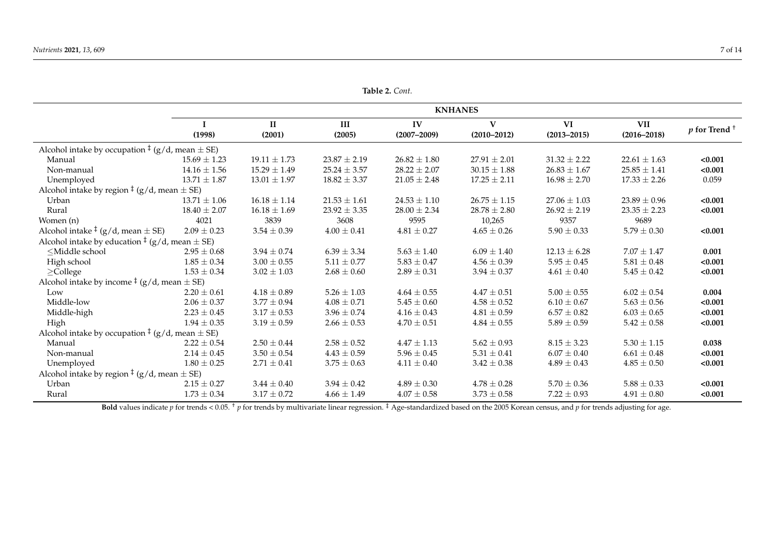**Table 2.** *Cont.*

|                                                                                                                                                                                                                                                                                                        | <b>KNHANES</b>   |                        |                  |                       |                                 |                       |                               |                            |
|--------------------------------------------------------------------------------------------------------------------------------------------------------------------------------------------------------------------------------------------------------------------------------------------------------|------------------|------------------------|------------------|-----------------------|---------------------------------|-----------------------|-------------------------------|----------------------------|
|                                                                                                                                                                                                                                                                                                        | (1998)           | $\mathbf{I}$<br>(2001) | III<br>(2005)    | IV<br>$(2007 - 2009)$ | $\mathbf{V}$<br>$(2010 - 2012)$ | VI<br>$(2013 - 2015)$ | <b>VII</b><br>$(2016 - 2018)$ | $p$ for Trend <sup>+</sup> |
| Alcohol intake by occupation $\frac{1}{2}$ (g/d, mean $\pm$ SE)                                                                                                                                                                                                                                        |                  |                        |                  |                       |                                 |                       |                               |                            |
| Manual                                                                                                                                                                                                                                                                                                 | $15.69 \pm 1.23$ | $19.11 \pm 1.73$       | $23.87 \pm 2.19$ | $26.82 \pm 1.80$      | $27.91 \pm 2.01$                | $31.32 \pm 2.22$      | $22.61 \pm 1.63$              | < 0.001                    |
| Non-manual                                                                                                                                                                                                                                                                                             | $14.16 \pm 1.56$ | $15.29 \pm 1.49$       | $25.24 \pm 3.57$ | $28.22 \pm 2.07$      | $30.15 \pm 1.88$                | $26.83 \pm 1.67$      | $25.85 \pm 1.41$              | < 0.001                    |
| Unemployed                                                                                                                                                                                                                                                                                             | $13.71 \pm 1.87$ | $13.01 \pm 1.97$       | $18.82 \pm 3.37$ | $21.05 \pm 2.48$      | $17.25 \pm 2.11$                | $16.98 \pm 2.70$      | $17.33 \pm 2.26$              | 0.059                      |
| Alcohol intake by region $\frac{1}{2}$ (g/d, mean $\pm$ SE)                                                                                                                                                                                                                                            |                  |                        |                  |                       |                                 |                       |                               |                            |
| Urban                                                                                                                                                                                                                                                                                                  | $13.71 \pm 1.06$ | $16.18 \pm 1.14$       | $21.53 \pm 1.61$ | $24.53 \pm 1.10$      | $26.75 \pm 1.15$                | $27.06 \pm 1.03$      | $23.89 \pm 0.96$              | < 0.001                    |
| Rural                                                                                                                                                                                                                                                                                                  | $18.40 \pm 2.07$ | $16.18 \pm 1.69$       | $23.92 \pm 3.35$ | $28.00 \pm 2.34$      | $28.78 \pm 2.80$                | $26.92 \pm 2.19$      | $23.35 \pm 2.23$              | < 0.001                    |
| Women (n)                                                                                                                                                                                                                                                                                              | 4021             | 3839                   | 3608             | 9595                  | 10,265                          | 9357                  | 9689                          |                            |
| Alcohol intake $\frac{1}{2}$ (g/d, mean $\pm$ SE)                                                                                                                                                                                                                                                      | $2.09 \pm 0.23$  | $3.54 \pm 0.39$        | $4.00 \pm 0.41$  | $4.81 \pm 0.27$       | $4.65 \pm 0.26$                 | $5.90 \pm 0.33$       | $5.79 \pm 0.30$               | < 0.001                    |
| Alcohol intake by education $\frac{1}{2}$ (g/d, mean $\pm$ SE)                                                                                                                                                                                                                                         |                  |                        |                  |                       |                                 |                       |                               |                            |
| <middle school<="" td=""><td><math>2.95 \pm 0.68</math></td><td><math>3.94 \pm 0.74</math></td><td><math>6.39 \pm 3.34</math></td><td><math>5.63 \pm 1.40</math></td><td><math>6.09 \pm 1.40</math></td><td><math>12.13 \pm 6.28</math></td><td><math>7.07 \pm 1.47</math></td><td>0.001</td></middle> | $2.95 \pm 0.68$  | $3.94 \pm 0.74$        | $6.39 \pm 3.34$  | $5.63 \pm 1.40$       | $6.09 \pm 1.40$                 | $12.13 \pm 6.28$      | $7.07 \pm 1.47$               | 0.001                      |
| High school                                                                                                                                                                                                                                                                                            | $1.85 \pm 0.34$  | $3.00 \pm 0.55$        | $5.11 \pm 0.77$  | $5.83 \pm 0.47$       | $4.56 \pm 0.39$                 | $5.95 \pm 0.45$       | $5.81 \pm 0.48$               | < 0.001                    |
| $\geq$ College                                                                                                                                                                                                                                                                                         | $1.53 \pm 0.34$  | $3.02 \pm 1.03$        | $2.68 \pm 0.60$  | $2.89 \pm 0.31$       | $3.94 \pm 0.37$                 | $4.61 \pm 0.40$       | $5.45\pm0.42$                 | < 0.001                    |
| Alcohol intake by income $\frac{1}{2}$ (g/d, mean $\pm$ SE)                                                                                                                                                                                                                                            |                  |                        |                  |                       |                                 |                       |                               |                            |
| Low                                                                                                                                                                                                                                                                                                    | $2.20 \pm 0.61$  | $4.18 \pm 0.89$        | $5.26 \pm 1.03$  | $4.64 \pm 0.55$       | $4.47 \pm 0.51$                 | $5.00 \pm 0.55$       | $6.02 \pm 0.54$               | 0.004                      |
| Middle-low                                                                                                                                                                                                                                                                                             | $2.06 \pm 0.37$  | $3.77 \pm 0.94$        | $4.08 \pm 0.71$  | $5.45 \pm 0.60$       | $4.58 \pm 0.52$                 | $6.10 \pm 0.67$       | $5.63 \pm 0.56$               | < 0.001                    |
| Middle-high                                                                                                                                                                                                                                                                                            | $2.23 \pm 0.45$  | $3.17 \pm 0.53$        | $3.96 \pm 0.74$  | $4.16 \pm 0.43$       | $4.81 \pm 0.59$                 | $6.57 \pm 0.82$       | $6.03 \pm 0.65$               | < 0.001                    |
| High                                                                                                                                                                                                                                                                                                   | $1.94 \pm 0.35$  | $3.19 \pm 0.59$        | $2.66 \pm 0.53$  | $4.70 \pm 0.51$       | $4.84 \pm 0.55$                 | $5.89 \pm 0.59$       | $5.42 \pm 0.58$               | < 0.001                    |
| Alcohol intake by occupation $\frac{1}{2}$ (g/d, mean $\pm$ SE)                                                                                                                                                                                                                                        |                  |                        |                  |                       |                                 |                       |                               |                            |
| Manual                                                                                                                                                                                                                                                                                                 | $2.22 \pm 0.54$  | $2.50 \pm 0.44$        | $2.58 \pm 0.52$  | $4.47 \pm 1.13$       | $5.62 \pm 0.93$                 | $8.15 \pm 3.23$       | $5.30 \pm 1.15$               | 0.038                      |
| Non-manual                                                                                                                                                                                                                                                                                             | $2.14 \pm 0.45$  | $3.50 \pm 0.54$        | $4.43 \pm 0.59$  | $5.96 \pm 0.45$       | $5.31 \pm 0.41$                 | $6.07 \pm 0.40$       | $6.61 \pm 0.48$               | < 0.001                    |
| Unemployed                                                                                                                                                                                                                                                                                             | $1.80 \pm 0.25$  | $2.71 \pm 0.41$        | $3.75 \pm 0.63$  | $4.11 \pm 0.40$       | $3.42 \pm 0.38$                 | $4.89 \pm 0.43$       | $4.85 \pm 0.50$               | < 0.001                    |
| Alcohol intake by region $\frac{1}{2}$ (g/d, mean $\pm$ SE)                                                                                                                                                                                                                                            |                  |                        |                  |                       |                                 |                       |                               |                            |
| Urban                                                                                                                                                                                                                                                                                                  | $2.15 \pm 0.27$  | $3.44 \pm 0.40$        | $3.94 \pm 0.42$  | $4.89 \pm 0.30$       | $4.78 \pm 0.28$                 | $5.70 \pm 0.36$       | $5.88 \pm 0.33$               | < 0.001                    |
| Rural                                                                                                                                                                                                                                                                                                  | $1.73 \pm 0.34$  | $3.17 \pm 0.72$        | $4.66 \pm 1.49$  | $4.07 \pm 0.58$       | $3.73 \pm 0.58$                 | $7.22 \pm 0.93$       | $4.91 \pm 0.80$               | < 0.001                    |

<span id="page-6-0"></span>**Bold** values indicate *p* for trends < 0.05. <sup>†</sup> *p* for trends by multivariate linear regression. <sup>‡</sup> Age-standardized based on the 2005 Korean census, and *p* for trends adjusting for age.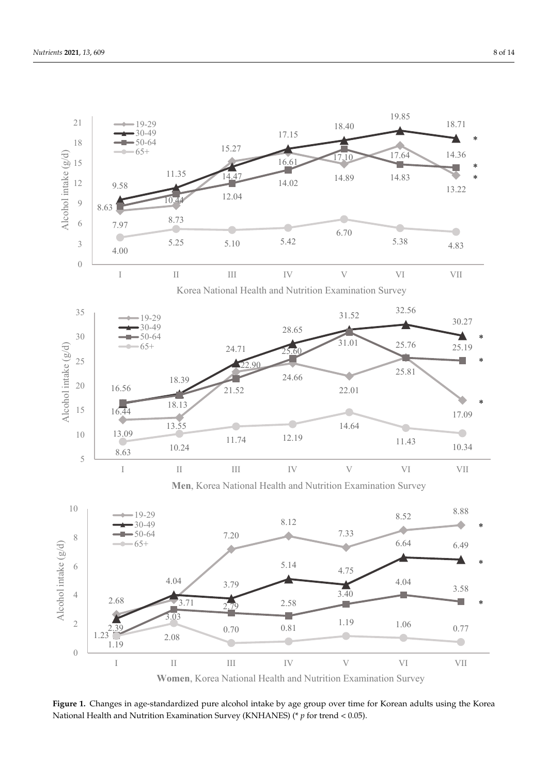<span id="page-7-0"></span>

Figure 1. Changes in age-standardized pure alcohol intake by age group over time for Korean adults using the Korea National Health and Nutrition Examination Survey (KNHANES) (\* *p* for trend < 0.05). National Health and Nutrition Examination Survey (KNHANES) (\* *p* for trend < 0.05).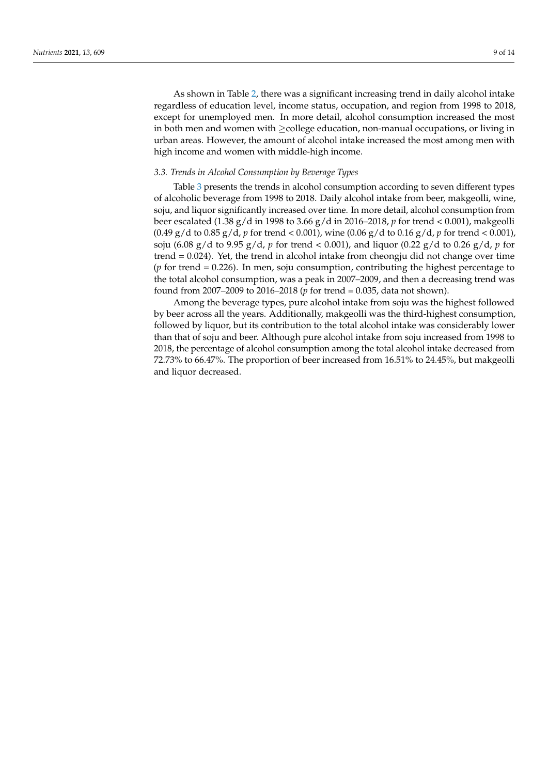As shown in Table [2,](#page-6-0) there was a significant increasing trend in daily alcohol intake regardless of education level, income status, occupation, and region from 1998 to 2018, except for unemployed men. In more detail, alcohol consumption increased the most in both men and women with ≥college education, non-manual occupations, or living in urban areas. However, the amount of alcohol intake increased the most among men with high income and women with middle-high income.

#### *3.3. Trends in Alcohol Consumption by Beverage Types*

Table [3](#page-9-0) presents the trends in alcohol consumption according to seven different types of alcoholic beverage from 1998 to 2018. Daily alcohol intake from beer, makgeolli, wine, soju, and liquor significantly increased over time. In more detail, alcohol consumption from beer escalated (1.38 g/d in 1998 to 3.66 g/d in 2016–2018, *p* for trend < 0.001), makgeolli (0.49 g/d to 0.85 g/d, *p* for trend < 0.001), wine (0.06 g/d to 0.16 g/d, *p* for trend < 0.001), soju (6.08 g/d to 9.95 g/d, *p* for trend < 0.001), and liquor (0.22 g/d to 0.26 g/d, *p* for trend  $= 0.024$ ). Yet, the trend in alcohol intake from cheongju did not change over time (*p* for trend = 0.226). In men, soju consumption, contributing the highest percentage to the total alcohol consumption, was a peak in 2007–2009, and then a decreasing trend was found from 2007–2009 to 2016–2018 (*p* for trend = 0.035, data not shown).

Among the beverage types, pure alcohol intake from soju was the highest followed by beer across all the years. Additionally, makgeolli was the third-highest consumption, followed by liquor, but its contribution to the total alcohol intake was considerably lower than that of soju and beer. Although pure alcohol intake from soju increased from 1998 to 2018, the percentage of alcohol consumption among the total alcohol intake decreased from 72.73% to 66.47%. The proportion of beer increased from 16.51% to 24.45%, but makgeolli and liquor decreased.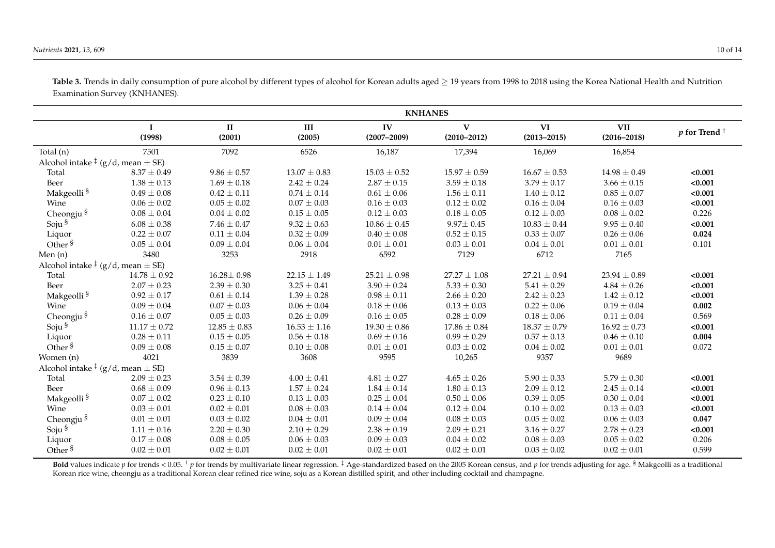$\sim$ 

|                                                   | <b>KNHANES</b>        |                        |                  |                       |                                 |                       |                               |                            |  |
|---------------------------------------------------|-----------------------|------------------------|------------------|-----------------------|---------------------------------|-----------------------|-------------------------------|----------------------------|--|
|                                                   | $\mathbf I$<br>(1998) | $\mathbf{I}$<br>(2001) | III<br>(2005)    | IV<br>$(2007 - 2009)$ | $\mathbf{V}$<br>$(2010 - 2012)$ | VI<br>$(2013 - 2015)$ | <b>VII</b><br>$(2016 - 2018)$ | $p$ for Trend <sup>+</sup> |  |
| Total $(n)$                                       | 7501                  | 7092                   | 6526             | 16,187                | 17,394                          | 16,069                | 16,854                        |                            |  |
| Alcohol intake $\frac{1}{2}$ (g/d, mean $\pm$ SE) |                       |                        |                  |                       |                                 |                       |                               |                            |  |
| Total                                             | $8.37 \pm 0.49$       | $9.86 \pm 0.57$        | $13.07 \pm 0.83$ | $15.03 \pm 0.52$      | $15.97 \pm 0.59$                | $16.67 \pm 0.53$      | $14.98 \pm 0.49$              | < 0.001                    |  |
| Beer                                              | $1.38 \pm 0.13$       | $1.69 \pm 0.18$        | $2.42 \pm 0.24$  | $2.87 \pm 0.15$       | $3.59 \pm 0.18$                 | $3.79 \pm 0.17$       | $3.66 \pm 0.15$               | < 0.001                    |  |
| Makgeolli <sup>§</sup>                            | $0.49 \pm 0.08$       | $0.42 \pm 0.11$        | $0.74 \pm 0.14$  | $0.61\pm0.06$         | $1.56 \pm 0.11$                 | $1.40 \pm 0.12$       | $0.85 \pm 0.07$               | < 0.001                    |  |
| Wine                                              | $0.06 \pm 0.02$       | $0.05 \pm 0.02$        | $0.07 \pm 0.03$  | $0.16 \pm 0.03$       | $0.12 \pm 0.02$                 | $0.16 \pm 0.04$       | $0.16 \pm 0.03$               | < 0.001                    |  |
| Cheongju <sup>§</sup>                             | $0.08 \pm 0.04$       | $0.04 \pm 0.02$        | $0.15 \pm 0.05$  | $0.12 \pm 0.03$       | $0.18 \pm 0.05$                 | $0.12 \pm 0.03$       | $0.08 \pm 0.02$               | 0.226                      |  |
| Soju <sup>§</sup>                                 | $6.08 \pm 0.38$       | $7.46 \pm 0.47$        | $9.32 \pm 0.63$  | $10.86 \pm 0.45$      | $9.97 \pm 0.45$                 | $10.83 \pm 0.44$      | $9.95 \pm 0.40$               | < 0.001                    |  |
| Liquor                                            | $0.22 \pm 0.07$       | $0.11 \pm 0.04$        | $0.32 \pm 0.09$  | $0.40\pm0.08$         | $0.52\pm0.15$                   | $0.33 \pm 0.07$       | $0.26 \pm 0.06$               | 0.024                      |  |
| Other <sup>§</sup>                                | $0.05 \pm 0.04$       | $0.09 \pm 0.04$        | $0.06 \pm 0.04$  | $0.01 \pm 0.01$       | $0.03 \pm 0.01$                 | $0.04 \pm 0.01$       | $0.01 \pm 0.01$               | 0.101                      |  |
| Men(n)                                            | 3480                  | 3253                   | 2918             | 6592                  | 7129                            | 6712                  | 7165                          |                            |  |
| Alcohol intake $\frac{1}{2}$ (g/d, mean $\pm$ SE) |                       |                        |                  |                       |                                 |                       |                               |                            |  |
| Total                                             | $14.78 \pm 0.92$      | $16.28 \pm 0.98$       | $22.15 \pm 1.49$ | $25.21 \pm 0.98$      | $27.27 \pm 1.08$                | $27.21 \pm 0.94$      | $23.94 \pm 0.89$              | < 0.001                    |  |
| Beer                                              | $2.07 \pm 0.23$       | $2.39 \pm 0.30$        | $3.25 \pm 0.41$  | $3.90 \pm 0.24$       | $5.33 \pm 0.30$                 | $5.41 \pm 0.29$       | $4.84 \pm 0.26$               | < 0.001                    |  |
| Makgeolli <sup>§</sup>                            | $0.92 \pm 0.17$       | $0.61 \pm 0.14$        | $1.39 \pm 0.28$  | $0.98 \pm 0.11$       | $2.66 \pm 0.20$                 | $2.42 \pm 0.23$       | $1.42 \pm 0.12$               | < 0.001                    |  |
| Wine                                              | $0.09 \pm 0.04$       | $0.07 \pm 0.03$        | $0.06 \pm 0.04$  | $0.18 \pm 0.06$       | $0.13 \pm 0.03$                 | $0.22 \pm 0.06$       | $0.19 \pm 0.04$               | 0.002                      |  |
|                                                   | $0.16 \pm 0.07$       | $0.05 \pm 0.03$        | $0.26 \pm 0.09$  | $0.16 \pm 0.05$       | $0.28 \pm 0.09$                 | $0.18 \pm 0.06$       | $0.11 \pm 0.04$               | 0.569                      |  |
| Cheongju $^{\S}$ Soju $^{\S}$                     | $11.17 \pm 0.72$      | $12.85 \pm 0.83$       | $16.53 \pm 1.16$ | $19.30 \pm 0.86$      | $17.86 \pm 0.84$                | $18.37 \pm 0.79$      | $16.92 \pm 0.73$              | < 0.001                    |  |
| Liquor                                            | $0.28 \pm 0.11$       | $0.15 \pm 0.05$        | $0.56 \pm 0.18$  | $0.69 \pm 0.16$       | $0.99 \pm 0.29$                 | $0.57 \pm 0.13$       | $0.46 \pm 0.10$               | 0.004                      |  |
| Other <sup>§</sup>                                | $0.09 \pm 0.08$       | $0.15 \pm 0.07$        | $0.10 \pm 0.08$  | $0.01 \pm 0.01$       | $0.03 \pm 0.02$                 | $0.04 \pm 0.02$       | $0.01 \pm 0.01$               | 0.072                      |  |
| Women (n)                                         | 4021                  | 3839                   | 3608             | 9595                  | 10,265                          | 9357                  | 9689                          |                            |  |
| Alcohol intake $\frac{1}{2}$ (g/d, mean $\pm$ SE) |                       |                        |                  |                       |                                 |                       |                               |                            |  |
| Total                                             | $2.09 \pm 0.23$       | $3.54 \pm 0.39$        | $4.00\pm0.41$    | $4.81 \pm 0.27$       | $4.65 \pm 0.26$                 | $5.90 \pm 0.33$       | $5.79 \pm 0.30$               | < 0.001                    |  |
| Beer                                              | $0.68 \pm 0.09$       | $0.96 \pm 0.13$        | $1.57 \pm 0.24$  | $1.84 \pm 0.14$       | $1.80 \pm 0.13$                 | $2.09 \pm 0.12$       | $2.45 \pm 0.14$               | < 0.001                    |  |
| Makgeolli <sup>§</sup>                            | $0.07 \pm 0.02$       | $0.23 \pm 0.10$        | $0.13 \pm 0.03$  | $0.25 \pm 0.04$       | $0.50\pm0.06$                   | $0.39 \pm 0.05$       | $0.30 \pm 0.04$               | < 0.001                    |  |
| Wine                                              | $0.03 \pm 0.01$       | $0.02 \pm 0.01$        | $0.08 \pm 0.03$  | $0.14\pm0.04$         | $0.12 \pm 0.04$                 | $0.10\pm0.02$         | $0.13 \pm 0.03$               | < 0.001                    |  |
| Cheongju <sup>§</sup>                             | $0.01 \pm 0.01$       | $0.03\pm0.02$          | $0.04\pm0.01$    | $0.09 \pm 0.04$       | $0.08 \pm 0.03$                 | $0.05\pm0.02$         | $0.06 \pm 0.03$               | 0.047                      |  |
| Soju §                                            | $1.11 \pm 0.16$       | $2.20 \pm 0.30$        | $2.10 \pm 0.29$  | $2.38 \pm 0.19$       | $2.09 \pm 0.21$                 | $3.16 \pm 0.27$       | $2.78 \pm 0.23$               | < 0.001                    |  |
| Liquor                                            | $0.17 \pm 0.08$       | $0.08 \pm 0.05$        | $0.06 \pm 0.03$  | $0.09 \pm 0.03$       | $0.04 \pm 0.02$                 | $0.08 \pm 0.03$       | $0.05 \pm 0.02$               | 0.206                      |  |
| Other <sup>§</sup>                                | $0.02 \pm 0.01$       | $0.02 \pm 0.01$        | $0.02 \pm 0.01$  | $0.02 \pm 0.01$       | $0.02 \pm 0.01$                 | $0.03 \pm 0.02$       | $0.02 \pm 0.01$               | 0.599                      |  |

Table 3. Trends in daily consumption of pure alcohol by different types of alcohol for Korean adults aged ≥ 19 years from 1998 to 2018 using the Korea National Health and Nutrition Examination Survey (KNHANES).

<span id="page-9-0"></span>Bold values indicate p for trends < 0.05. <sup>+</sup> p for trends by multivariate linear regression. <sup>‡</sup> Age-standardized based on the 2005 Korean census, and p for trends adjusting for age. <sup>§</sup> Makgeolli as a traditional Korean rice wine, cheongju as a traditional Korean clear refined rice wine, soju as a Korean distilled spirit, and other including cocktail and champagne.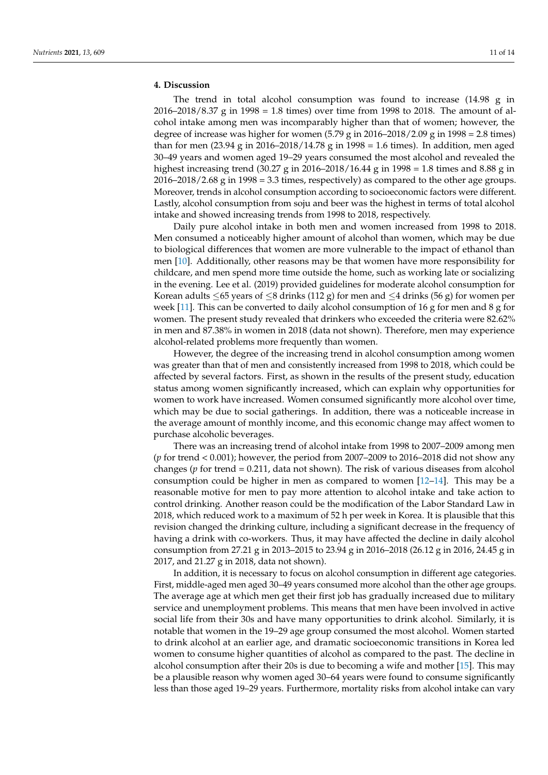# **4. Discussion**

The trend in total alcohol consumption was found to increase (14.98 g in 2016–2018/8.37 g in 1998 = 1.8 times) over time from 1998 to 2018. The amount of alcohol intake among men was incomparably higher than that of women; however, the degree of increase was higher for women  $(5.79 \text{ g in } 2016-2018/2.09 \text{ g in } 1998 = 2.8 \text{ times})$ than for men (23.94 g in 2016–2018/14.78 g in 1998 = 1.6 times). In addition, men aged 30–49 years and women aged 19–29 years consumed the most alcohol and revealed the highest increasing trend (30.27 g in 2016–2018/16.44 g in 1998 = 1.8 times and 8.88 g in 2016–2018/2.68 g in 1998 = 3.3 times, respectively) as compared to the other age groups. Moreover, trends in alcohol consumption according to socioeconomic factors were different. Lastly, alcohol consumption from soju and beer was the highest in terms of total alcohol intake and showed increasing trends from 1998 to 2018, respectively.

Daily pure alcohol intake in both men and women increased from 1998 to 2018. Men consumed a noticeably higher amount of alcohol than women, which may be due to biological differences that women are more vulnerable to the impact of ethanol than men [\[10\]](#page-12-9). Additionally, other reasons may be that women have more responsibility for childcare, and men spend more time outside the home, such as working late or socializing in the evening. Lee et al. (2019) provided guidelines for moderate alcohol consumption for Korean adults  $\leq$  65 years of  $\leq$ 8 drinks (112 g) for men and  $\leq$ 4 drinks (56 g) for women per week [\[11\]](#page-12-10). This can be converted to daily alcohol consumption of 16 g for men and 8 g for women. The present study revealed that drinkers who exceeded the criteria were 82.62% in men and 87.38% in women in 2018 (data not shown). Therefore, men may experience alcohol-related problems more frequently than women.

However, the degree of the increasing trend in alcohol consumption among women was greater than that of men and consistently increased from 1998 to 2018, which could be affected by several factors. First, as shown in the results of the present study, education status among women significantly increased, which can explain why opportunities for women to work have increased. Women consumed significantly more alcohol over time, which may be due to social gatherings. In addition, there was a noticeable increase in the average amount of monthly income, and this economic change may affect women to purchase alcoholic beverages.

There was an increasing trend of alcohol intake from 1998 to 2007–2009 among men (*p* for trend < 0.001); however, the period from 2007–2009 to 2016–2018 did not show any changes (*p* for trend = 0.211, data not shown). The risk of various diseases from alcohol consumption could be higher in men as compared to women [\[12–](#page-12-11)[14\]](#page-12-12). This may be a reasonable motive for men to pay more attention to alcohol intake and take action to control drinking. Another reason could be the modification of the Labor Standard Law in 2018, which reduced work to a maximum of 52 h per week in Korea. It is plausible that this revision changed the drinking culture, including a significant decrease in the frequency of having a drink with co-workers. Thus, it may have affected the decline in daily alcohol consumption from 27.21 g in 2013–2015 to 23.94 g in 2016–2018 (26.12 g in 2016, 24.45 g in 2017, and 21.27 g in 2018, data not shown).

In addition, it is necessary to focus on alcohol consumption in different age categories. First, middle-aged men aged 30–49 years consumed more alcohol than the other age groups. The average age at which men get their first job has gradually increased due to military service and unemployment problems. This means that men have been involved in active social life from their 30s and have many opportunities to drink alcohol. Similarly, it is notable that women in the 19–29 age group consumed the most alcohol. Women started to drink alcohol at an earlier age, and dramatic socioeconomic transitions in Korea led women to consume higher quantities of alcohol as compared to the past. The decline in alcohol consumption after their 20s is due to becoming a wife and mother [\[15\]](#page-12-13). This may be a plausible reason why women aged 30–64 years were found to consume significantly less than those aged 19–29 years. Furthermore, mortality risks from alcohol intake can vary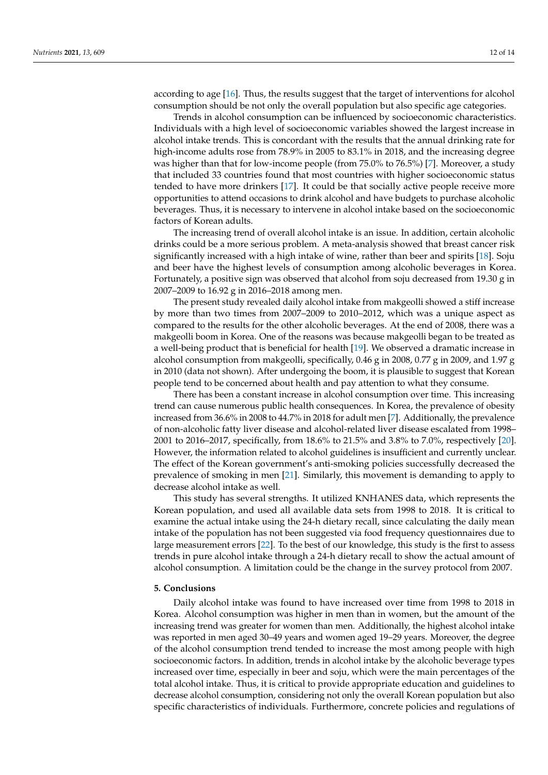according to age [\[16\]](#page-12-14). Thus, the results suggest that the target of interventions for alcohol consumption should be not only the overall population but also specific age categories.

Trends in alcohol consumption can be influenced by socioeconomic characteristics. Individuals with a high level of socioeconomic variables showed the largest increase in alcohol intake trends. This is concordant with the results that the annual drinking rate for high-income adults rose from 78.9% in 2005 to 83.1% in 2018, and the increasing degree was higher than that for low-income people (from 75.0% to 76.5%) [\[7\]](#page-12-6). Moreover, a study that included 33 countries found that most countries with higher socioeconomic status tended to have more drinkers [\[17\]](#page-12-15). It could be that socially active people receive more opportunities to attend occasions to drink alcohol and have budgets to purchase alcoholic beverages. Thus, it is necessary to intervene in alcohol intake based on the socioeconomic factors of Korean adults.

The increasing trend of overall alcohol intake is an issue. In addition, certain alcoholic drinks could be a more serious problem. A meta-analysis showed that breast cancer risk significantly increased with a high intake of wine, rather than beer and spirits [\[18\]](#page-12-16). Soju and beer have the highest levels of consumption among alcoholic beverages in Korea. Fortunately, a positive sign was observed that alcohol from soju decreased from 19.30 g in 2007–2009 to 16.92 g in 2016–2018 among men.

The present study revealed daily alcohol intake from makgeolli showed a stiff increase by more than two times from 2007–2009 to 2010–2012, which was a unique aspect as compared to the results for the other alcoholic beverages. At the end of 2008, there was a makgeolli boom in Korea. One of the reasons was because makgeolli began to be treated as a well-being product that is beneficial for health [\[19\]](#page-13-0). We observed a dramatic increase in alcohol consumption from makgeolli, specifically, 0.46 g in 2008, 0.77 g in 2009, and 1.97 g in 2010 (data not shown). After undergoing the boom, it is plausible to suggest that Korean people tend to be concerned about health and pay attention to what they consume.

There has been a constant increase in alcohol consumption over time. This increasing trend can cause numerous public health consequences. In Korea, the prevalence of obesity increased from 36.6% in 2008 to 44.7% in 2018 for adult men [\[7\]](#page-12-6). Additionally, the prevalence of non-alcoholic fatty liver disease and alcohol-related liver disease escalated from 1998– 2001 to 2016–2017, specifically, from 18.6% to 21.5% and 3.8% to 7.0%, respectively [\[20\]](#page-13-1). However, the information related to alcohol guidelines is insufficient and currently unclear. The effect of the Korean government's anti-smoking policies successfully decreased the prevalence of smoking in men [\[21\]](#page-13-2). Similarly, this movement is demanding to apply to decrease alcohol intake as well.

This study has several strengths. It utilized KNHANES data, which represents the Korean population, and used all available data sets from 1998 to 2018. It is critical to examine the actual intake using the 24-h dietary recall, since calculating the daily mean intake of the population has not been suggested via food frequency questionnaires due to large measurement errors [\[22\]](#page-13-3). To the best of our knowledge, this study is the first to assess trends in pure alcohol intake through a 24-h dietary recall to show the actual amount of alcohol consumption. A limitation could be the change in the survey protocol from 2007.

# **5. Conclusions**

Daily alcohol intake was found to have increased over time from 1998 to 2018 in Korea. Alcohol consumption was higher in men than in women, but the amount of the increasing trend was greater for women than men. Additionally, the highest alcohol intake was reported in men aged 30–49 years and women aged 19–29 years. Moreover, the degree of the alcohol consumption trend tended to increase the most among people with high socioeconomic factors. In addition, trends in alcohol intake by the alcoholic beverage types increased over time, especially in beer and soju, which were the main percentages of the total alcohol intake. Thus, it is critical to provide appropriate education and guidelines to decrease alcohol consumption, considering not only the overall Korean population but also specific characteristics of individuals. Furthermore, concrete policies and regulations of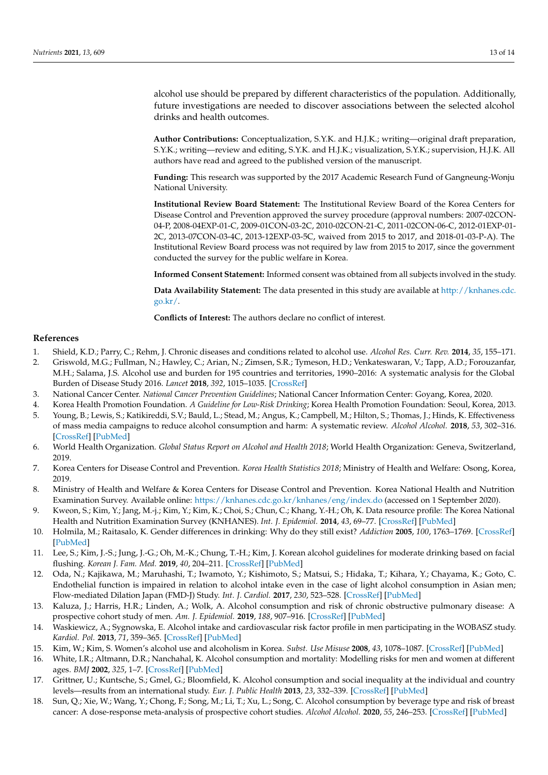alcohol use should be prepared by different characteristics of the population. Additionally, future investigations are needed to discover associations between the selected alcohol drinks and health outcomes.

**Author Contributions:** Conceptualization, S.Y.K. and H.J.K.; writing—original draft preparation, S.Y.K.; writing—review and editing, S.Y.K. and H.J.K.; visualization, S.Y.K.; supervision, H.J.K. All authors have read and agreed to the published version of the manuscript.

**Funding:** This research was supported by the 2017 Academic Research Fund of Gangneung-Wonju National University.

**Institutional Review Board Statement:** The Institutional Review Board of the Korea Centers for Disease Control and Prevention approved the survey procedure (approval numbers: 2007-02CON-04-P, 2008-04EXP-01-C, 2009-01CON-03-2C, 2010-02CON-21-C, 2011-02CON-06-C, 2012-01EXP-01- 2C, 2013-07CON-03-4C, 2013-12EXP-03-5C, waived from 2015 to 2017, and 2018-01-03-P-A). The Institutional Review Board process was not required by law from 2015 to 2017, since the government conducted the survey for the public welfare in Korea.

**Informed Consent Statement:** Informed consent was obtained from all subjects involved in the study.

**Data Availability Statement:** The data presented in this study are available at [http://knhanes.cdc.](http://knhanes.cdc.go.kr/) [go.kr/.](http://knhanes.cdc.go.kr/)

**Conflicts of Interest:** The authors declare no conflict of interest.

# **References**

- <span id="page-12-0"></span>1. Shield, K.D.; Parry, C.; Rehm, J. Chronic diseases and conditions related to alcohol use. *Alcohol Res. Curr. Rev.* **2014**, *35*, 155–171.
- <span id="page-12-1"></span>2. Griswold, M.G.; Fullman, N.; Hawley, C.; Arian, N.; Zimsen, S.R.; Tymeson, H.D.; Venkateswaran, V.; Tapp, A.D.; Forouzanfar, M.H.; Salama, J.S. Alcohol use and burden for 195 countries and territories, 1990–2016: A systematic analysis for the Global Burden of Disease Study 2016. *Lancet* **2018**, *392*, 1015–1035. [\[CrossRef\]](http://doi.org/10.1016/S0140-6736(18)31310-2)
- <span id="page-12-2"></span>3. National Cancer Center. *National Cancer Prevention Guidelines*; National Cancer Information Center: Goyang, Korea, 2020.
- <span id="page-12-3"></span>4. Korea Health Promotion Foundation. *A Guideline for Low-Risk Drinking*; Korea Health Promotion Foundation: Seoul, Korea, 2013.
- <span id="page-12-4"></span>5. Young, B.; Lewis, S.; Katikireddi, S.V.; Bauld, L.; Stead, M.; Angus, K.; Campbell, M.; Hilton, S.; Thomas, J.; Hinds, K. Effectiveness of mass media campaigns to reduce alcohol consumption and harm: A systematic review. *Alcohol Alcohol.* **2018**, *53*, 302–316. [\[CrossRef\]](http://doi.org/10.1093/alcalc/agx094) [\[PubMed\]](http://www.ncbi.nlm.nih.gov/pubmed/29329359)
- <span id="page-12-5"></span>6. World Health Organization. *Global Status Report on Alcohol and Health 2018*; World Health Organization: Geneva, Switzerland, 2019.
- <span id="page-12-6"></span>7. Korea Centers for Disease Control and Prevention. *Korea Health Statistics 2018*; Ministry of Health and Welfare: Osong, Korea, 2019.
- <span id="page-12-7"></span>8. Ministry of Health and Welfare & Korea Centers for Disease Control and Prevention. Korea National Health and Nutrition Examination Survey. Available online: <https://knhanes.cdc.go.kr/knhanes/eng/index.do> (accessed on 1 September 2020).
- <span id="page-12-8"></span>9. Kweon, S.; Kim, Y.; Jang, M.-j.; Kim, Y.; Kim, K.; Choi, S.; Chun, C.; Khang, Y.-H.; Oh, K. Data resource profile: The Korea National Health and Nutrition Examination Survey (KNHANES). *Int. J. Epidemiol.* **2014**, *43*, 69–77. [\[CrossRef\]](http://doi.org/10.1093/ije/dyt228) [\[PubMed\]](http://www.ncbi.nlm.nih.gov/pubmed/24585853)
- <span id="page-12-9"></span>10. Holmila, M.; Raitasalo, K. Gender differences in drinking: Why do they still exist? *Addiction* **2005**, *100*, 1763–1769. [\[CrossRef\]](http://doi.org/10.1111/j.1360-0443.2005.01249.x) [\[PubMed\]](http://www.ncbi.nlm.nih.gov/pubmed/16367976)
- <span id="page-12-10"></span>11. Lee, S.; Kim, J.-S.; Jung, J.-G.; Oh, M.-K.; Chung, T.-H.; Kim, J. Korean alcohol guidelines for moderate drinking based on facial flushing. *Korean J. Fam. Med.* **2019**, *40*, 204–211. [\[CrossRef\]](http://doi.org/10.4082/kjfm.19.0059) [\[PubMed\]](http://www.ncbi.nlm.nih.gov/pubmed/31302995)
- <span id="page-12-11"></span>12. Oda, N.; Kajikawa, M.; Maruhashi, T.; Iwamoto, Y.; Kishimoto, S.; Matsui, S.; Hidaka, T.; Kihara, Y.; Chayama, K.; Goto, C. Endothelial function is impaired in relation to alcohol intake even in the case of light alcohol consumption in Asian men; Flow-mediated Dilation Japan (FMD-J) Study. *Int. J. Cardiol.* **2017**, *230*, 523–528. [\[CrossRef\]](http://doi.org/10.1016/j.ijcard.2016.12.065) [\[PubMed\]](http://www.ncbi.nlm.nih.gov/pubmed/28057366)
- 13. Kaluza, J.; Harris, H.R.; Linden, A.; Wolk, A. Alcohol consumption and risk of chronic obstructive pulmonary disease: A prospective cohort study of men. *Am. J. Epidemiol.* **2019**, *188*, 907–916. [\[CrossRef\]](http://doi.org/10.1093/aje/kwz020) [\[PubMed\]](http://www.ncbi.nlm.nih.gov/pubmed/30877760)
- <span id="page-12-12"></span>14. Waskiewicz, A.; Sygnowska, E. Alcohol intake and cardiovascular risk factor profile in men participating in the WOBASZ study. *Kardiol. Pol.* **2013**, *71*, 359–365. [\[CrossRef\]](http://doi.org/10.5603/KP.2013.0063) [\[PubMed\]](http://www.ncbi.nlm.nih.gov/pubmed/23788341)
- <span id="page-12-13"></span>15. Kim, W.; Kim, S. Women's alcohol use and alcoholism in Korea. *Subst. Use Misuse* **2008**, *43*, 1078–1087. [\[CrossRef\]](http://doi.org/10.1080/10826080801914212) [\[PubMed\]](http://www.ncbi.nlm.nih.gov/pubmed/18649231)
- <span id="page-12-14"></span>16. White, I.R.; Altmann, D.R.; Nanchahal, K. Alcohol consumption and mortality: Modelling risks for men and women at different ages. *BMJ* **2002**, *325*, 1–7. [\[CrossRef\]](http://doi.org/10.1136/bmj.325.7357.191) [\[PubMed\]](http://www.ncbi.nlm.nih.gov/pubmed/12142306)
- <span id="page-12-15"></span>17. Grittner, U.; Kuntsche, S.; Gmel, G.; Bloomfield, K. Alcohol consumption and social inequality at the individual and country levels—results from an international study. *Eur. J. Public Health* **2013**, *23*, 332–339. [\[CrossRef\]](http://doi.org/10.1093/eurpub/cks044) [\[PubMed\]](http://www.ncbi.nlm.nih.gov/pubmed/22562712)
- <span id="page-12-16"></span>18. Sun, Q.; Xie, W.; Wang, Y.; Chong, F.; Song, M.; Li, T.; Xu, L.; Song, C. Alcohol consumption by beverage type and risk of breast cancer: A dose-response meta-analysis of prospective cohort studies. *Alcohol Alcohol.* **2020**, *55*, 246–253. [\[CrossRef\]](http://doi.org/10.1093/alcalc/agaa012) [\[PubMed\]](http://www.ncbi.nlm.nih.gov/pubmed/32090238)